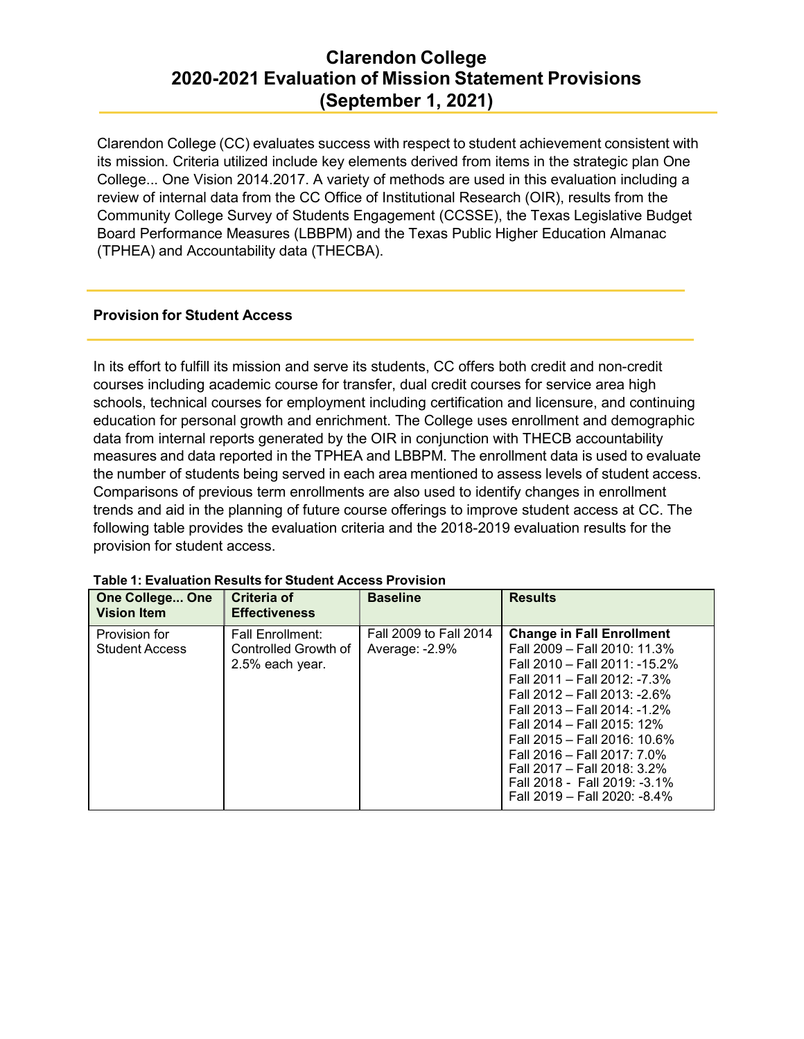Clarendon College (CC) evaluates success with respect to student achievement consistent with its mission. Criteria utilized include key elements derived from items in the strategic plan One College... One Vision 2014.2017. A variety of methods are used in this evaluation including a review of internal data from the CC Office of Institutional Research (OIR), results from the Community College Survey of Students Engagement (CCSSE), the Texas Legislative Budget Board Performance Measures (LBBPM) and the Texas Public Higher Education Almanac (TPHEA) and Accountability data (THECBA).

### **Provision for Student Access**

In its effort to fulfill its mission and serve its students, CC offers both credit and non-credit courses including academic course for transfer, dual credit courses for service area high schools, technical courses for employment including certification and licensure, and continuing education for personal growth and enrichment. The College uses enrollment and demographic data from internal reports generated by the OIR in conjunction with THECB accountability measures and data reported in the TPHEA and LBBPM. The enrollment data is used to evaluate the number of students being served in each area mentioned to assess levels of student access. Comparisons of previous term enrollments are also used to identify changes in enrollment trends and aid in the planning of future course offerings to improve student access at CC. The following table provides the evaluation criteria and the 2018-2019 evaluation results for the provision for student access.

| <b>One College One</b><br><b>Vision Item</b> | Criteria of<br><b>Effectiveness</b>                                | <b>Baseline</b>                          | <b>Results</b>                                                                                                                                                                                                                                                                                                                                                                                |
|----------------------------------------------|--------------------------------------------------------------------|------------------------------------------|-----------------------------------------------------------------------------------------------------------------------------------------------------------------------------------------------------------------------------------------------------------------------------------------------------------------------------------------------------------------------------------------------|
| Provision for<br><b>Student Access</b>       | <b>Fall Enrollment:</b><br>Controlled Growth of<br>2.5% each year. | Fall 2009 to Fall 2014<br>Average: -2.9% | <b>Change in Fall Enrollment</b><br>Fall 2009 - Fall 2010: 11.3%<br>Fall 2010 - Fall 2011: -15.2%<br>Fall 2011 - Fall 2012: -7.3%<br>Fall 2012 - Fall 2013: -2.6%<br>Fall 2013 - Fall 2014: -1.2%<br>Fall 2014 – Fall 2015: 12%<br>Fall 2015 - Fall 2016: 10.6%<br>Fall 2016 - Fall 2017: 7.0%<br>Fall 2017 - Fall 2018: 3.2%<br>Fall 2018 - Fall 2019: -3.1%<br>Fall 2019 - Fall 2020: -8.4% |

#### **Table 1: Evaluation Results for Student Access Provision**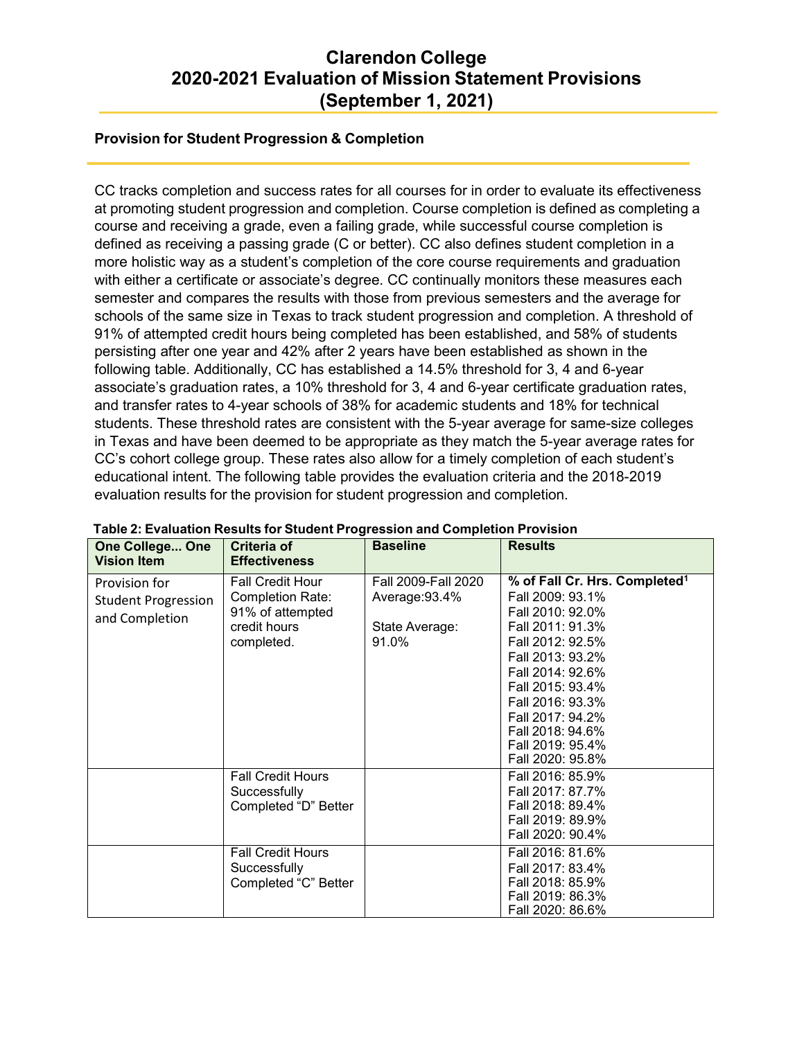## **Provision for Student Progression & Completion**

CC tracks completion and success rates for all courses for in order to evaluate its effectiveness at promoting student progression and completion. Course completion is defined as completing a course and receiving a grade, even a failing grade, while successful course completion is defined as receiving a passing grade (C or better). CC also defines student completion in a more holistic way as a student's completion of the core course requirements and graduation with either a certificate or associate's degree. CC continually monitors these measures each semester and compares the results with those from previous semesters and the average for schools of the same size in Texas to track student progression and completion. A threshold of 91% of attempted credit hours being completed has been established, and 58% of students persisting after one year and 42% after 2 years have been established as shown in the following table. Additionally, CC has established a 14.5% threshold for 3, 4 and 6-year associate's graduation rates, a 10% threshold for 3, 4 and 6-year certificate graduation rates, and transfer rates to 4-year schools of 38% for academic students and 18% for technical students. These threshold rates are consistent with the 5-year average for same-size colleges in Texas and have been deemed to be appropriate as they match the 5-year average rates for CC's cohort college group. These rates also allow for a timely completion of each student's educational intent. The following table provides the evaluation criteria and the 2018-2019 evaluation results for the provision for student progression and completion.

| <b>One College One</b><br><b>Vision Item</b>                  | <b>Criteria of</b><br><b>Effectiveness</b>                                                           | <b>Baseline</b>                                                  | <b>Results</b>                                                                                                                                                                                                                                                                            |
|---------------------------------------------------------------|------------------------------------------------------------------------------------------------------|------------------------------------------------------------------|-------------------------------------------------------------------------------------------------------------------------------------------------------------------------------------------------------------------------------------------------------------------------------------------|
| Provision for<br><b>Student Progression</b><br>and Completion | <b>Fall Credit Hour</b><br><b>Completion Rate:</b><br>91% of attempted<br>credit hours<br>completed. | Fall 2009-Fall 2020<br>Average: 93.4%<br>State Average:<br>91.0% | % of Fall Cr. Hrs. Completed <sup>1</sup><br>Fall 2009: 93.1%<br>Fall 2010: 92.0%<br>Fall 2011: 91.3%<br>Fall 2012: 92.5%<br>Fall 2013: 93.2%<br>Fall 2014: 92.6%<br>Fall 2015: 93.4%<br>Fall 2016: 93.3%<br>Fall 2017: 94.2%<br>Fall 2018: 94.6%<br>Fall 2019: 95.4%<br>Fall 2020: 95.8% |
|                                                               | <b>Fall Credit Hours</b><br>Successfully<br>Completed "D" Better                                     |                                                                  | Fall 2016: 85.9%<br>Fall 2017: 87.7%<br>Fall 2018: 89.4%<br>Fall 2019: 89.9%<br>Fall 2020: 90.4%                                                                                                                                                                                          |
|                                                               | <b>Fall Credit Hours</b><br>Successfully<br>Completed "C" Better                                     |                                                                  | Fall 2016: 81.6%<br>Fall 2017: 83.4%<br>Fall 2018: 85.9%<br>Fall 2019: 86.3%<br>Fall 2020: 86.6%                                                                                                                                                                                          |

#### **Table 2: Evaluation Results for Student Progression and Completion Provision**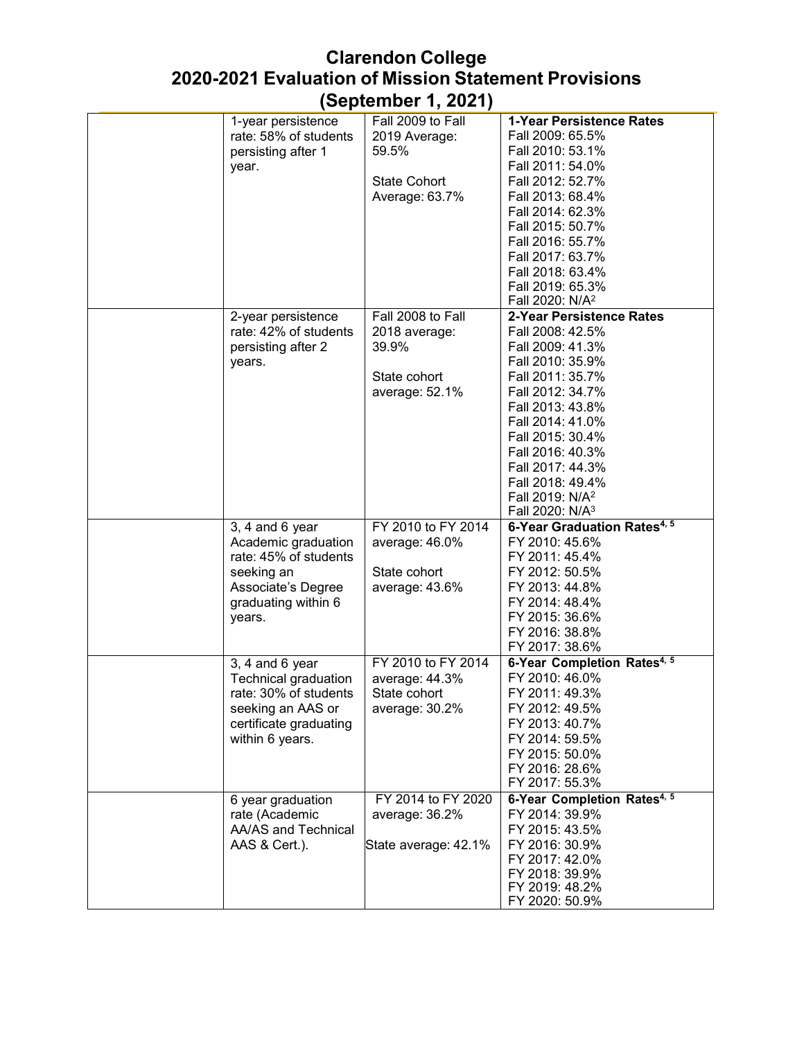| 1-year persistence                        | Fall 2009 to Fall    | 1-Year Persistence Rates                |
|-------------------------------------------|----------------------|-----------------------------------------|
| rate: 58% of students                     | 2019 Average:        | Fall 2009: 65.5%                        |
| persisting after 1                        | 59.5%                | Fall 2010: 53.1%                        |
| year.                                     |                      | Fall 2011: 54.0%                        |
|                                           | <b>State Cohort</b>  | Fall 2012: 52.7%                        |
|                                           | Average: 63.7%       | Fall 2013: 68.4%                        |
|                                           |                      | Fall 2014: 62.3%                        |
|                                           |                      | Fall 2015: 50.7%                        |
|                                           |                      | Fall 2016: 55.7%                        |
|                                           |                      | Fall 2017: 63.7%                        |
|                                           |                      | Fall 2018: 63.4%                        |
|                                           |                      | Fall 2019: 65.3%                        |
|                                           |                      | Fall 2020: N/A <sup>2</sup>             |
| 2-year persistence                        | Fall 2008 to Fall    | 2-Year Persistence Rates                |
| rate: 42% of students                     | 2018 average:        | Fall 2008: 42.5%                        |
|                                           | 39.9%                | Fall 2009: 41.3%                        |
| persisting after 2                        |                      |                                         |
| years.                                    |                      | Fall 2010: 35.9%                        |
|                                           | State cohort         | Fall 2011: 35.7%                        |
|                                           | average: 52.1%       | Fall 2012: 34.7%                        |
|                                           |                      | Fall 2013: 43.8%                        |
|                                           |                      | Fall 2014: 41.0%                        |
|                                           |                      | Fall 2015: 30.4%                        |
|                                           |                      | Fall 2016: 40.3%                        |
|                                           |                      | Fall 2017: 44.3%                        |
|                                           |                      | Fall 2018: 49.4%                        |
|                                           |                      | Fall 2019: N/A <sup>2</sup>             |
|                                           |                      | Fall 2020: N/A <sup>3</sup>             |
| 3, 4 and 6 year                           | FY 2010 to FY 2014   | 6-Year Graduation Rates <sup>4, 5</sup> |
| Academic graduation                       | average: 46.0%       | FY 2010: 45.6%                          |
| rate: 45% of students                     |                      | FY 2011: 45.4%                          |
| seeking an                                | State cohort         | FY 2012: 50.5%                          |
| Associate's Degree                        | average: 43.6%       | FY 2013: 44.8%                          |
| graduating within 6                       |                      | FY 2014: 48.4%                          |
| years.                                    |                      | FY 2015: 36.6%                          |
|                                           |                      | FY 2016: 38.8%                          |
|                                           |                      | FY 2017: 38.6%                          |
| $3, 4$ and $6$ year                       | FY 2010 to FY 2014   | 6-Year Completion Rates <sup>4, 5</sup> |
| Technical graduation                      | average: 44.3%       | FY 2010: 46.0%                          |
| rate: 30% of students.                    | State cohort         | FY 2011: 49.3%                          |
| seeking an AAS or                         | average: 30.2%       | FY 2012: 49.5%                          |
|                                           |                      | FY 2013: 40.7%                          |
| certificate graduating<br>within 6 years. |                      | FY 2014: 59.5%                          |
|                                           |                      |                                         |
|                                           |                      | FY 2015: 50.0%                          |
|                                           |                      | FY 2016: 28.6%                          |
|                                           |                      | FY 2017: 55.3%                          |
| 6 year graduation                         | FY 2014 to FY 2020   | 6-Year Completion Rates <sup>4, 5</sup> |
| rate (Academic                            | average: 36.2%       | FY 2014: 39.9%                          |
| AA/AS and Technical                       |                      | FY 2015: 43.5%                          |
| AAS & Cert.).                             | State average: 42.1% | FY 2016: 30.9%                          |
|                                           |                      | FY 2017: 42.0%                          |
|                                           |                      | FY 2018: 39.9%                          |
|                                           |                      | FY 2019: 48.2%                          |
|                                           |                      | FY 2020: 50.9%                          |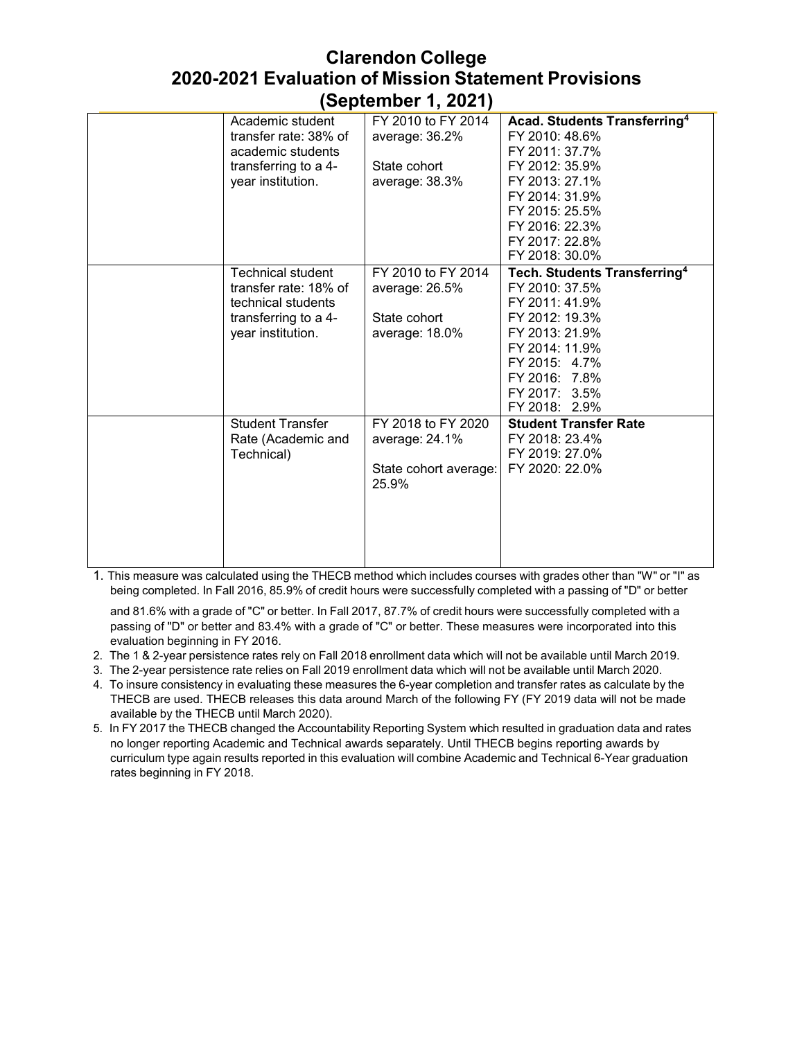| FY 2010 to FY 2014<br>Acad. Students Transferring <sup>4</sup><br>Academic student<br>transfer rate: 38% of<br>FY 2010: 48.6%<br>average: 36.2%<br>FY 2011: 37.7%<br>academic students<br>State cohort<br>FY 2012: 35.9%<br>transferring to a 4-<br>FY 2013: 27.1%<br>year institution.<br>average: 38.3%<br>FY 2014: 31.9%<br>FY 2015: 25.5%<br>FY 2016: 22.3% |
|-----------------------------------------------------------------------------------------------------------------------------------------------------------------------------------------------------------------------------------------------------------------------------------------------------------------------------------------------------------------|
|                                                                                                                                                                                                                                                                                                                                                                 |
|                                                                                                                                                                                                                                                                                                                                                                 |
|                                                                                                                                                                                                                                                                                                                                                                 |
|                                                                                                                                                                                                                                                                                                                                                                 |
|                                                                                                                                                                                                                                                                                                                                                                 |
|                                                                                                                                                                                                                                                                                                                                                                 |
|                                                                                                                                                                                                                                                                                                                                                                 |
|                                                                                                                                                                                                                                                                                                                                                                 |
| FY 2017: 22.8%                                                                                                                                                                                                                                                                                                                                                  |
| FY 2018: 30.0%                                                                                                                                                                                                                                                                                                                                                  |
| FY 2010 to FY 2014<br>Tech. Students Transferring <sup>4</sup><br><b>Technical student</b>                                                                                                                                                                                                                                                                      |
| transfer rate: 18% of<br>FY 2010: 37.5%<br>average: 26.5%                                                                                                                                                                                                                                                                                                       |
| FY 2011: 41.9%<br>technical students                                                                                                                                                                                                                                                                                                                            |
| State cohort<br>FY 2012: 19.3%<br>transferring to a 4-                                                                                                                                                                                                                                                                                                          |
| average: 18.0%<br>FY 2013: 21.9%<br>year institution.                                                                                                                                                                                                                                                                                                           |
| FY 2014: 11.9%                                                                                                                                                                                                                                                                                                                                                  |
| FY 2015: 4.7%                                                                                                                                                                                                                                                                                                                                                   |
| FY 2016: 7.8%                                                                                                                                                                                                                                                                                                                                                   |
| FY 2017: 3.5%                                                                                                                                                                                                                                                                                                                                                   |
| FY 2018: 2.9%                                                                                                                                                                                                                                                                                                                                                   |
| <b>Student Transfer</b><br>FY 2018 to FY 2020<br><b>Student Transfer Rate</b>                                                                                                                                                                                                                                                                                   |
| FY 2018: 23.4%<br>Rate (Academic and<br>average: 24.1%                                                                                                                                                                                                                                                                                                          |
| FY 2019: 27.0%<br>Technical)                                                                                                                                                                                                                                                                                                                                    |
| FY 2020: 22.0%<br>State cohort average:                                                                                                                                                                                                                                                                                                                         |
| 25.9%                                                                                                                                                                                                                                                                                                                                                           |
|                                                                                                                                                                                                                                                                                                                                                                 |
|                                                                                                                                                                                                                                                                                                                                                                 |
|                                                                                                                                                                                                                                                                                                                                                                 |
|                                                                                                                                                                                                                                                                                                                                                                 |
|                                                                                                                                                                                                                                                                                                                                                                 |

1. This measure was calculated using the THECB method which includes courses with grades other than "W" or "I" as being completed. In Fall 2016, 85.9% of credit hours were successfully completed with a passing of "D" or better

and 81.6% with a grade of "C" or better. In Fall 2017, 87.7% of credit hours were successfully completed with a passing of "D" or better and 83.4% with a grade of "C" or better. These measures were incorporated into this evaluation beginning in FY 2016.

- 2. The 1 & 2-year persistence rates rely on Fall 2018 enrollment data which will not be available until March 2019.
- 3. The 2-year persistence rate relies on Fall 2019 enrollment data which will not be available until March 2020.
- 4. To insure consistency in evaluating these measures the 6-year completion and transfer rates as calculate by the THECB are used. THECB releases this data around March of the following FY (FY 2019 data will not be made available by the THECB until March 2020).
- 5. In FY 2017 the THECB changed the Accountability Reporting System which resulted in graduation data and rates no longer reporting Academic and Technical awards separately. Until THECB begins reporting awards by curriculum type again results reported in this evaluation will combine Academic and Technical 6-Year graduation rates beginning in FY 2018.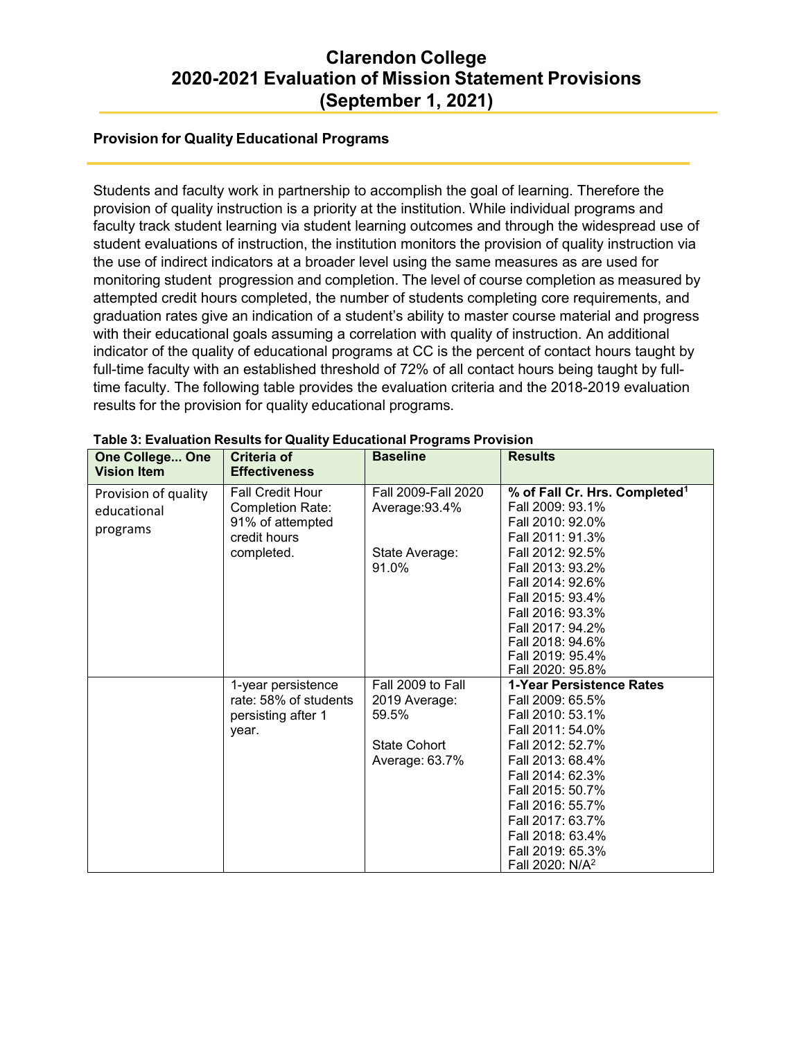## **Provision for Quality Educational Programs**

Students and faculty work in partnership to accomplish the goal of learning. Therefore the provision of quality instruction is a priority at the institution. While individual programs and faculty track student learning via student learning outcomes and through the widespread use of student evaluations of instruction, the institution monitors the provision of quality instruction via the use of indirect indicators at a broader level using the same measures as are used for monitoring student progression and completion. The level of course completion as measured by attempted credit hours completed, the number of students completing core requirements, and graduation rates give an indication of a student's ability to master course material and progress with their educational goals assuming a correlation with quality of instruction. An additional indicator of the quality of educational programs at CC is the percent of contact hours taught by full-time faculty with an established threshold of 72% of all contact hours being taught by fulltime faculty. The following table provides the evaluation criteria and the 2018-2019 evaluation results for the provision for quality educational programs.

| <b>One College One</b><br><b>Vision Item</b> | Criteria of<br><b>Effectiveness</b> | <b>Baseline</b>     | <b>Results</b>                            |
|----------------------------------------------|-------------------------------------|---------------------|-------------------------------------------|
| Provision of quality                         | <b>Fall Credit Hour</b>             | Fall 2009-Fall 2020 | % of Fall Cr. Hrs. Completed <sup>1</sup> |
| educational                                  | <b>Completion Rate:</b>             | Average: 93.4%      | Fall 2009: 93.1%                          |
|                                              | 91% of attempted                    |                     | Fall 2010: 92.0%                          |
| programs                                     | credit hours                        |                     | Fall 2011: 91.3%                          |
|                                              | completed.                          | State Average:      | Fall 2012: 92.5%                          |
|                                              |                                     | 91.0%               | Fall 2013: 93.2%                          |
|                                              |                                     |                     | Fall 2014: 92.6%                          |
|                                              |                                     |                     | Fall 2015: 93.4%                          |
|                                              |                                     |                     | Fall 2016: 93.3%                          |
|                                              |                                     |                     | Fall 2017: 94.2%                          |
|                                              |                                     |                     | Fall 2018: 94.6%                          |
|                                              |                                     |                     | Fall 2019: 95.4%                          |
|                                              |                                     |                     | Fall 2020: 95.8%                          |
|                                              | 1-year persistence                  | Fall 2009 to Fall   | 1-Year Persistence Rates                  |
|                                              | rate: 58% of students               | 2019 Average:       | Fall 2009: 65.5%                          |
|                                              | persisting after 1                  | 59.5%               | Fall 2010: 53.1%                          |
|                                              | year.                               |                     | Fall 2011: 54.0%                          |
|                                              |                                     | <b>State Cohort</b> | Fall 2012: 52.7%                          |
|                                              |                                     | Average: 63.7%      | Fall 2013: 68.4%                          |
|                                              |                                     |                     | Fall 2014: 62.3%                          |
|                                              |                                     |                     | Fall 2015: 50.7%                          |
|                                              |                                     |                     | Fall 2016: 55.7%                          |
|                                              |                                     |                     | Fall 2017: 63.7%                          |
|                                              |                                     |                     | Fall 2018: 63.4%                          |
|                                              |                                     |                     | Fall 2019: 65.3%                          |
|                                              |                                     |                     | Fall 2020: N/A <sup>2</sup>               |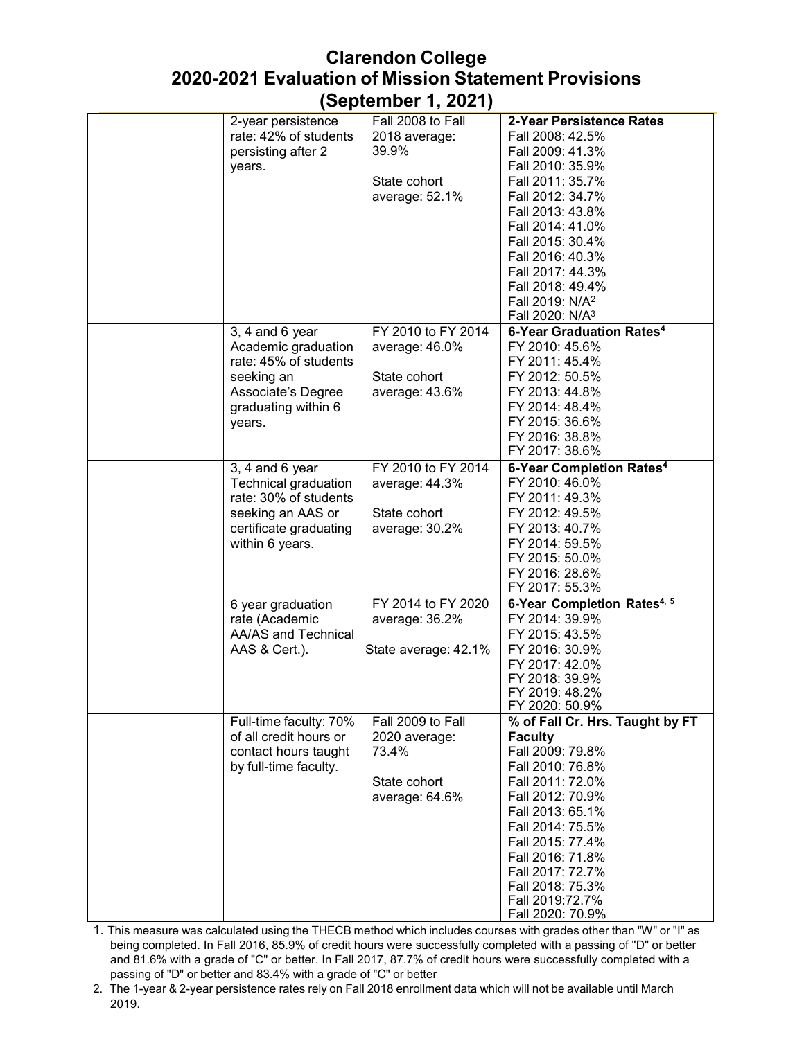| 2-year persistence     | Fall 2008 to Fall    | 2-Year Persistence Rates                |
|------------------------|----------------------|-----------------------------------------|
| rate: 42% of students  | 2018 average:        | Fall 2008: 42.5%                        |
| persisting after 2     | 39.9%                | Fall 2009: 41.3%                        |
| years.                 |                      | Fall 2010: 35.9%                        |
|                        | State cohort         | Fall 2011: 35.7%                        |
|                        | average: 52.1%       | Fall 2012: 34.7%                        |
|                        |                      | Fall 2013: 43.8%                        |
|                        |                      | Fall 2014: 41.0%                        |
|                        |                      | Fall 2015: 30.4%                        |
|                        |                      | Fall 2016: 40.3%                        |
|                        |                      | Fall 2017: 44.3%                        |
|                        |                      | Fall 2018: 49.4%                        |
|                        |                      | Fall 2019: N/A <sup>2</sup>             |
|                        |                      | Fall 2020: N/A <sup>3</sup>             |
| 3, 4 and 6 year        | FY 2010 to FY 2014   | 6-Year Graduation Rates <sup>4</sup>    |
| Academic graduation    | average: 46.0%       | FY 2010: 45.6%                          |
| rate: 45% of students  |                      | FY 2011: 45.4%                          |
| seeking an             | State cohort         | FY 2012: 50.5%                          |
| Associate's Degree     | average: 43.6%       | FY 2013: 44.8%                          |
|                        |                      |                                         |
| graduating within 6    |                      | FY 2014: 48.4%                          |
| years.                 |                      | FY 2015: 36.6%                          |
|                        |                      | FY 2016: 38.8%                          |
|                        |                      | FY 2017: 38.6%                          |
| $3, 4$ and $6$ year    | FY 2010 to FY 2014   | 6-Year Completion Rates <sup>4</sup>    |
| Technical graduation   | average: 44.3%       | FY 2010: 46.0%                          |
| rate: 30% of students  |                      | FY 2011: 49.3%                          |
| seeking an AAS or      | State cohort         | FY 2012: 49.5%                          |
| certificate graduating | average: 30.2%       | FY 2013: 40.7%                          |
| within 6 years.        |                      | FY 2014: 59.5%                          |
|                        |                      | FY 2015: 50.0%                          |
|                        |                      | FY 2016: 28.6%                          |
|                        |                      | FY 2017: 55.3%                          |
| 6 year graduation      | FY 2014 to FY 2020   | 6-Year Completion Rates <sup>4, 5</sup> |
| rate (Academic         | average: 36.2%       | FY 2014: 39.9%                          |
| AA/AS and Technical    |                      | FY 2015: 43.5%                          |
| AAS & Cert.).          | State average: 42.1% | FY 2016: 30.9%                          |
|                        |                      | FY 2017: 42.0%                          |
|                        |                      | FY 2018: 39.9%                          |
|                        |                      | FY 2019: 48.2%                          |
|                        |                      | FY 2020: 50.9%                          |
| Full-time faculty: 70% | Fall 2009 to Fall    | % of Fall Cr. Hrs. Taught by FT         |
| of all credit hours or | 2020 average:        | <b>Faculty</b>                          |
| contact hours taught   | 73.4%                | Fall 2009: 79.8%                        |
| by full-time faculty.  |                      | Fall 2010: 76.8%                        |
|                        | State cohort         | Fall 2011: 72.0%                        |
|                        | average: 64.6%       | Fall 2012: 70.9%                        |
|                        |                      | Fall 2013: 65.1%                        |
|                        |                      | Fall 2014: 75.5%                        |
|                        |                      | Fall 2015: 77.4%                        |
|                        |                      | Fall 2016: 71.8%                        |
|                        |                      | Fall 2017: 72.7%                        |
|                        |                      | Fall 2018: 75.3%                        |
|                        |                      | Fall 2019:72.7%                         |
|                        |                      | Fall 2020: 70.9%                        |
|                        |                      |                                         |

1. This measure was calculated using the THECB method which includes courses with grades other than "W" or "I" as being completed. In Fall 2016, 85.9% of credit hours were successfully completed with a passing of "D" or better and 81.6% with a grade of "C" or better. In Fall 2017, 87.7% of credit hours were successfully completed with a passing of "D" or better and 83.4% with a grade of "C" or better

2. The 1-year & 2-year persistence rates rely on Fall 2018 enrollment data which will not be available until March 2019.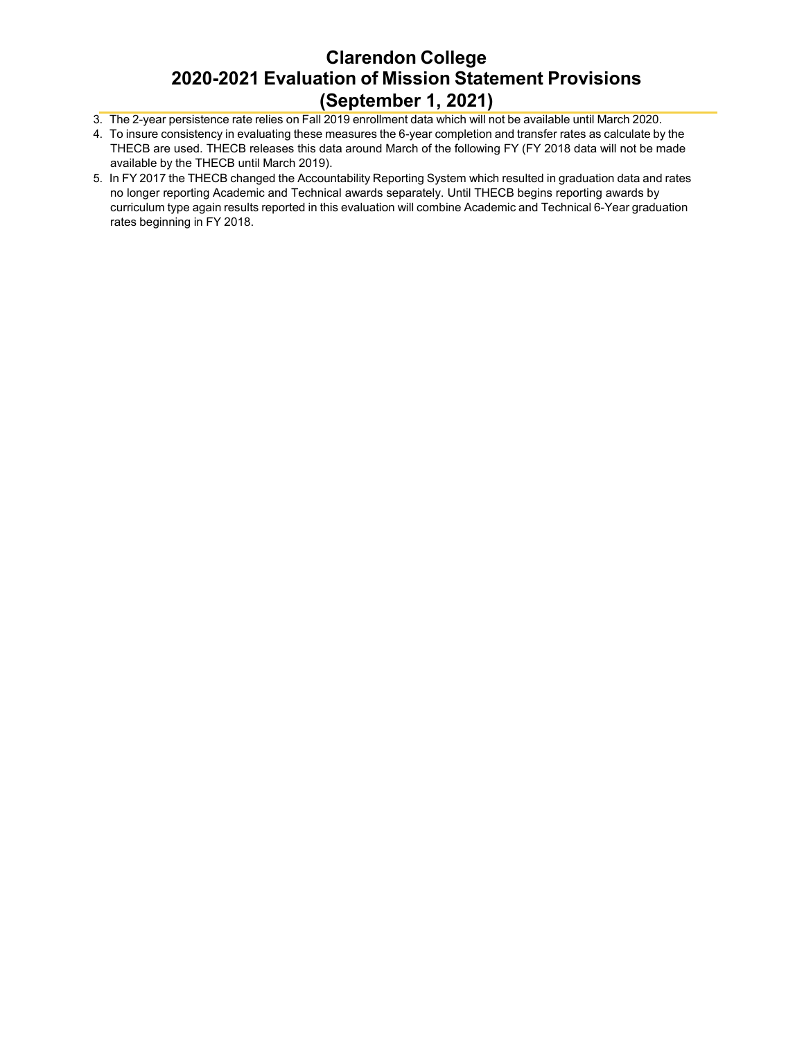- 3. The 2-year persistence rate relies on Fall 2019 enrollment data which will not be available until March 2020.
- 4. To insure consistency in evaluating these measures the 6-year completion and transfer rates as calculate by the THECB are used. THECB releases this data around March of the following FY (FY 2018 data will not be made available by the THECB until March 2019).
- 5. In FY 2017 the THECB changed the Accountability Reporting System which resulted in graduation data and rates no longer reporting Academic and Technical awards separately. Until THECB begins reporting awards by curriculum type again results reported in this evaluation will combine Academic and Technical 6-Year graduation rates beginning in FY 2018.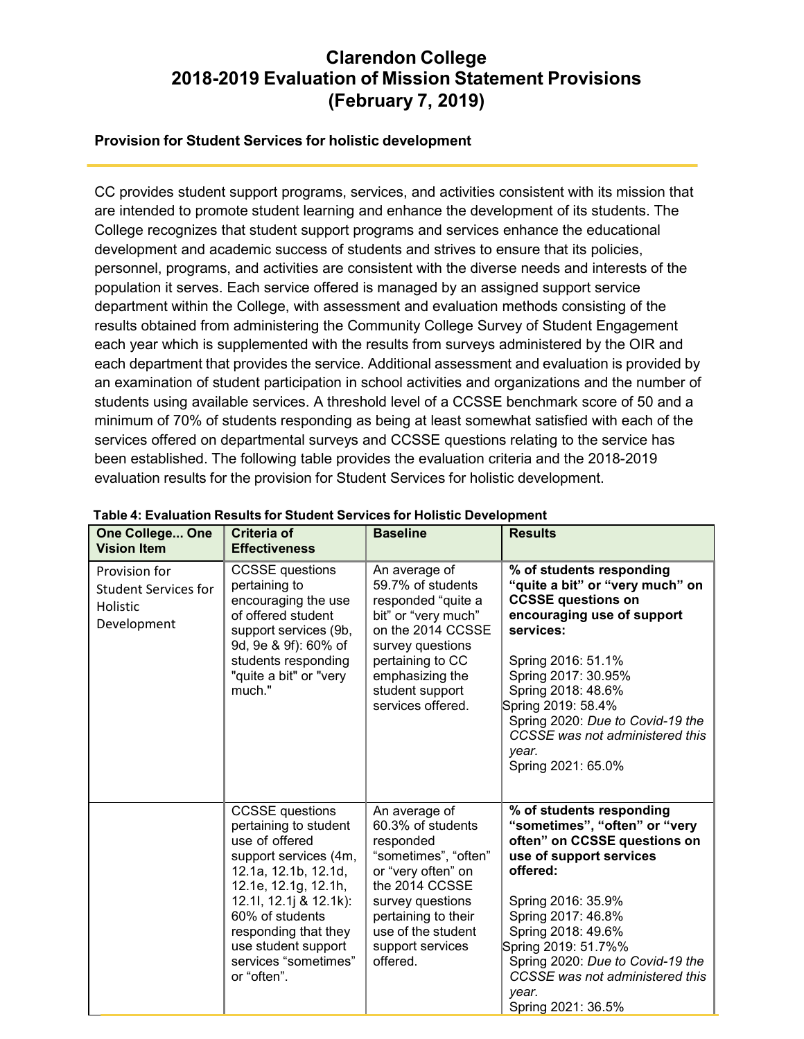# **Clarendon College 2018-2019 Evaluation of Mission Statement Provisions (February 7, 2019)**

### **Provision for Student Services for holistic development**

CC provides student support programs, services, and activities consistent with its mission that are intended to promote student learning and enhance the development of its students. The College recognizes that student support programs and services enhance the educational development and academic success of students and strives to ensure that its policies, personnel, programs, and activities are consistent with the diverse needs and interests of the population it serves. Each service offered is managed by an assigned support service department within the College, with assessment and evaluation methods consisting of the results obtained from administering the Community College Survey of Student Engagement each year which is supplemented with the results from surveys administered by the OIR and each department that provides the service. Additional assessment and evaluation is provided by an examination of student participation in school activities and organizations and the number of students using available services. A threshold level of a CCSSE benchmark score of 50 and a minimum of 70% of students responding as being at least somewhat satisfied with each of the services offered on departmental surveys and CCSSE questions relating to the service has been established. The following table provides the evaluation criteria and the 2018-2019 evaluation results for the provision for Student Services for holistic development.

| One College One<br><b>Vision Item</b>                                   | <b>Criteria of</b><br><b>Effectiveness</b>                                                                                                                                                                                                                                    | <b>Baseline</b>                                                                                                                                                                                                  | <b>Results</b>                                                                                                                                                                                                                                                                                                                     |
|-------------------------------------------------------------------------|-------------------------------------------------------------------------------------------------------------------------------------------------------------------------------------------------------------------------------------------------------------------------------|------------------------------------------------------------------------------------------------------------------------------------------------------------------------------------------------------------------|------------------------------------------------------------------------------------------------------------------------------------------------------------------------------------------------------------------------------------------------------------------------------------------------------------------------------------|
| Provision for<br><b>Student Services for</b><br>Holistic<br>Development | <b>CCSSE</b> questions<br>pertaining to<br>encouraging the use<br>of offered student<br>support services (9b,<br>9d, 9e & 9f): 60% of<br>students responding<br>"quite a bit" or "very<br>much."                                                                              | An average of<br>59.7% of students<br>responded "quite a<br>bit" or "very much"<br>on the 2014 CCSSE<br>survey questions<br>pertaining to CC<br>emphasizing the<br>student support<br>services offered.          | % of students responding<br>"quite a bit" or "very much" on<br><b>CCSSE questions on</b><br>encouraging use of support<br>services:<br>Spring 2016: 51.1%<br>Spring 2017: 30.95%<br>Spring 2018: 48.6%<br>Spring 2019: 58.4%<br>Spring 2020: Due to Covid-19 the<br>CCSSE was not administered this<br>year.<br>Spring 2021: 65.0% |
|                                                                         | <b>CCSSE</b> questions<br>pertaining to student<br>use of offered<br>support services (4m,<br>12.1a, 12.1b, 12.1d,<br>12.1e, 12.1g, 12.1h,<br>12.1l, 12.1j & 12.1k):<br>60% of students<br>responding that they<br>use student support<br>services "sometimes"<br>or "often". | An average of<br>60.3% of students<br>responded<br>"sometimes", "often"<br>or "very often" on<br>the 2014 CCSSE<br>survey questions<br>pertaining to their<br>use of the student<br>support services<br>offered. | % of students responding<br>"sometimes", "often" or "very<br>often" on CCSSE questions on<br>use of support services<br>offered:<br>Spring 2016: 35.9%<br>Spring 2017: 46.8%<br>Spring 2018: 49.6%<br>Spring 2019: 51.7%%<br>Spring 2020: Due to Covid-19 the<br>CCSSE was not administered this<br>year.<br>Spring 2021: 36.5%    |

#### **Table 4: Evaluation Results for Student Services for Holistic Development**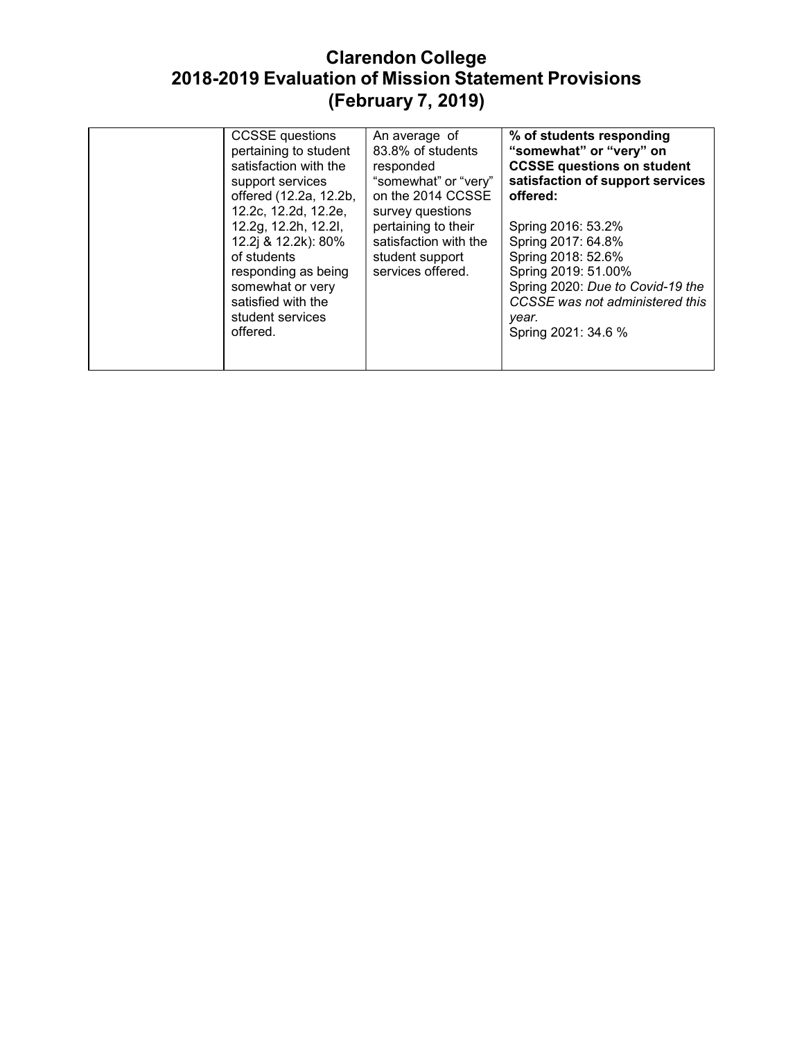# **Clarendon College 2018-2019 Evaluation of Mission Statement Provisions (February 7, 2019)**

| <b>CCSSE</b> questions<br>pertaining to student<br>satisfaction with the<br>support services<br>offered (12.2a, 12.2b,<br>12.2c, 12.2d, 12.2e,              | An average of<br>83.8% of students<br>responded<br>"somewhat" or "very"<br>on the 2014 CCSSE<br>survey questions | % of students responding<br>"somewhat" or "very" on<br><b>CCSSE questions on student</b><br>satisfaction of support services<br>offered:                                                     |
|-------------------------------------------------------------------------------------------------------------------------------------------------------------|------------------------------------------------------------------------------------------------------------------|----------------------------------------------------------------------------------------------------------------------------------------------------------------------------------------------|
| 12.2g, 12.2h, 12.2l,<br>12.2j & 12.2k): 80%<br>of students<br>responding as being<br>somewhat or very<br>satisfied with the<br>student services<br>offered. | pertaining to their<br>satisfaction with the<br>student support<br>services offered.                             | Spring 2016: 53.2%<br>Spring 2017: 64.8%<br>Spring 2018: 52.6%<br>Spring 2019: 51.00%<br>Spring 2020: Due to Covid-19 the<br>CCSSE was not administered this<br>year.<br>Spring 2021: 34.6 % |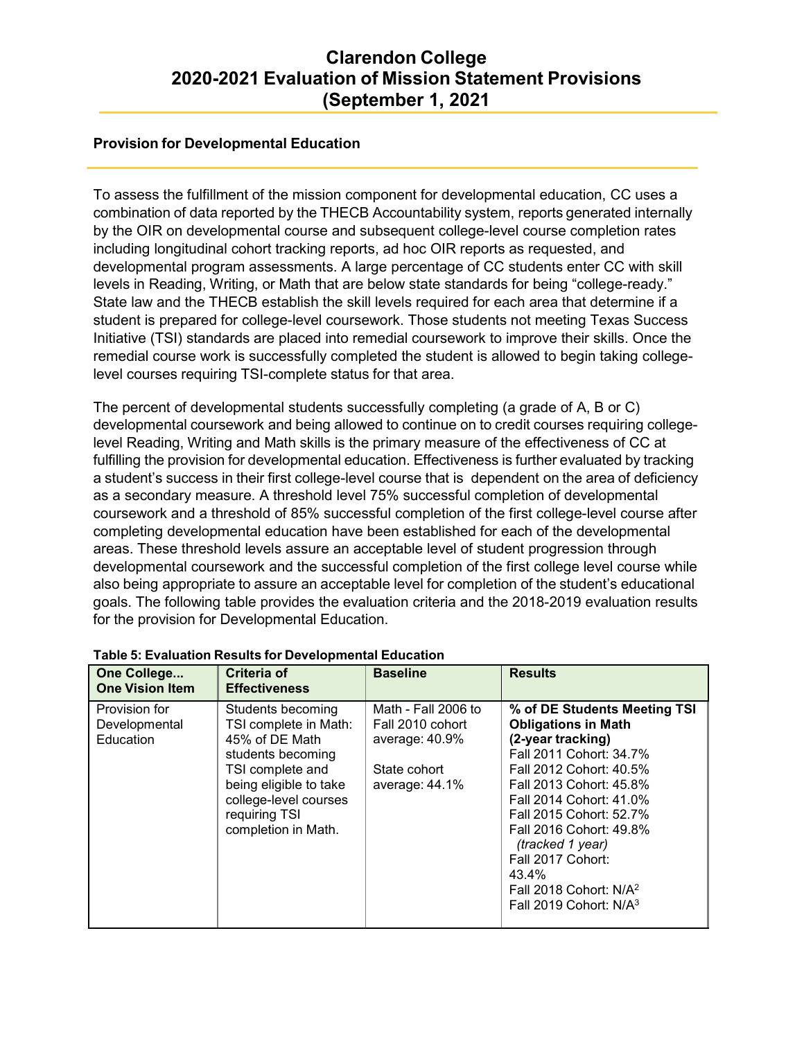### **Provision for Developmental Education**

To assess the fulfillment of the mission component for developmental education, CC uses a combination of data reported by the THECB Accountability system, reports generated internally by the OIR on developmental course and subsequent college-level course completion rates including longitudinal cohort tracking reports, ad hoc OIR reports as requested, and developmental program assessments. A large percentage of CC students enter CC with skill levels in Reading, Writing, or Math that are below state standards for being "college-ready." State law and the THECB establish the skill levels required for each area that determine if a student is prepared for college-level coursework. Those students not meeting Texas Success Initiative (TSI) standards are placed into remedial coursework to improve their skills. Once the remedial course work is successfully completed the student is allowed to begin taking collegelevel courses requiring TSI-complete status for that area.

The percent of developmental students successfully completing (a grade of A, B or C) developmental coursework and being allowed to continue on to credit courses requiring collegelevel Reading, Writing and Math skills is the primary measure of the effectiveness of CC at fulfilling the provision for developmental education. Effectiveness is further evaluated by tracking a student's success in their first college-level course that is dependent on the area of deficiency as a secondary measure. A threshold level 75% successful completion of developmental coursework and a threshold of 85% successful completion of the first college-level course after completing developmental education have been established for each of the developmental areas. These threshold levels assure an acceptable level of student progression through developmental coursework and the successful completion of the first college level course while also being appropriate to assure an acceptable level for completion of the student's educational goals. The following table provides the evaluation criteria and the 2018-2019 evaluation results for the provision for Developmental Education.

| One College<br><b>One Vision Item</b>       | <b>Criteria of</b><br><b>Effectiveness</b>                                                                                                                                                       | <b>Baseline</b>                                                                             | <b>Results</b>                                                                                                                                                                                                                                                                                                                                                        |
|---------------------------------------------|--------------------------------------------------------------------------------------------------------------------------------------------------------------------------------------------------|---------------------------------------------------------------------------------------------|-----------------------------------------------------------------------------------------------------------------------------------------------------------------------------------------------------------------------------------------------------------------------------------------------------------------------------------------------------------------------|
| Provision for<br>Developmental<br>Education | Students becoming<br>TSI complete in Math:<br>45% of DE Math<br>students becoming<br>TSI complete and<br>being eligible to take<br>college-level courses<br>requiring TSI<br>completion in Math. | Math - Fall 2006 to<br>Fall 2010 cohort<br>average: 40.9%<br>State cohort<br>average: 44.1% | % of DE Students Meeting TSI<br><b>Obligations in Math</b><br>(2-year tracking)<br>Fall 2011 Cohort: 34.7%<br>Fall 2012 Cohort: 40.5%<br>Fall 2013 Cohort: 45.8%<br>Fall 2014 Cohort: 41.0%<br>Fall 2015 Cohort: 52.7%<br>Fall 2016 Cohort: 49.8%<br>(tracked 1 year)<br>Fall 2017 Cohort:<br>43.4%<br>Fall 2018 Cohort: N/A <sup>2</sup><br>Fall 2019 Cohort: $N/A3$ |

### **Table 5: Evaluation Results for Developmental Education**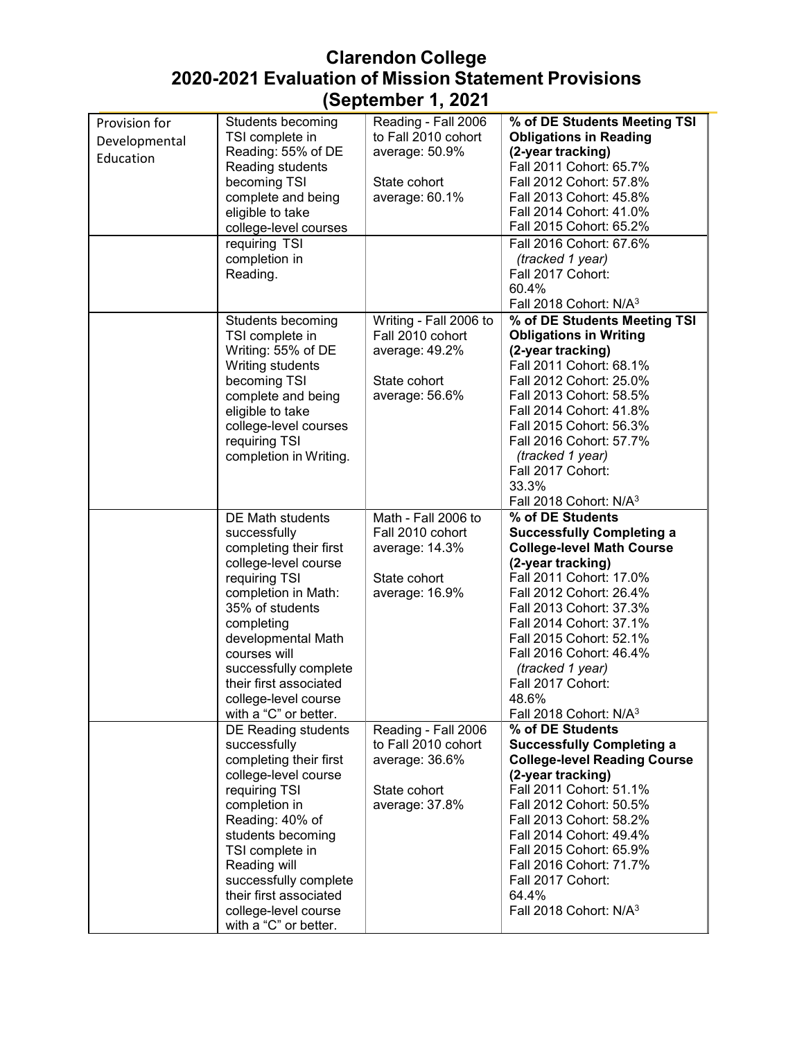| Provision for | Students becoming                             | Reading - Fall 2006    | % of DE Students Meeting TSI        |
|---------------|-----------------------------------------------|------------------------|-------------------------------------|
| Developmental | TSI complete in                               | to Fall 2010 cohort    | <b>Obligations in Reading</b>       |
|               | Reading: 55% of DE                            | average: 50.9%         | (2-year tracking)                   |
| Education     | Reading students                              |                        | Fall 2011 Cohort: 65.7%             |
|               | becoming TSI                                  | State cohort           | Fall 2012 Cohort: 57.8%             |
|               | complete and being                            | average: 60.1%         | Fall 2013 Cohort: 45.8%             |
|               |                                               |                        |                                     |
|               | eligible to take                              |                        | Fall 2014 Cohort: 41.0%             |
|               | college-level courses                         |                        | Fall 2015 Cohort: 65.2%             |
|               | requiring TSI                                 |                        | Fall 2016 Cohort: 67.6%             |
|               | completion in                                 |                        | (tracked 1 year)                    |
|               | Reading.                                      |                        | Fall 2017 Cohort:                   |
|               |                                               |                        | 60.4%                               |
|               |                                               |                        | Fall 2018 Cohort: N/A <sup>3</sup>  |
|               |                                               | Writing - Fall 2006 to | % of DE Students Meeting TSI        |
|               | Students becoming                             |                        |                                     |
|               | TSI complete in                               | Fall 2010 cohort       | <b>Obligations in Writing</b>       |
|               | Writing: 55% of DE                            | average: 49.2%         | (2-year tracking)                   |
|               | Writing students                              |                        | Fall 2011 Cohort: 68.1%             |
|               | becoming TSI                                  | State cohort           | Fall 2012 Cohort: 25.0%             |
|               | complete and being                            | average: 56.6%         | Fall 2013 Cohort: 58.5%             |
|               | eligible to take                              |                        | Fall 2014 Cohort: 41.8%             |
|               | college-level courses                         |                        | Fall 2015 Cohort: 56.3%             |
|               | requiring TSI                                 |                        | Fall 2016 Cohort: 57.7%             |
|               | completion in Writing.                        |                        | (tracked 1 year)                    |
|               |                                               |                        |                                     |
|               |                                               |                        | Fall 2017 Cohort:                   |
|               |                                               |                        | 33.3%                               |
|               |                                               |                        | Fall 2018 Cohort: N/A <sup>3</sup>  |
|               | <b>DE Math students</b>                       | Math - Fall 2006 to    | % of DE Students                    |
|               | successfully                                  | Fall 2010 cohort       | <b>Successfully Completing a</b>    |
|               | completing their first                        | average: 14.3%         | <b>College-level Math Course</b>    |
|               | college-level course                          |                        | (2-year tracking)                   |
|               | requiring TSI                                 | State cohort           | Fall 2011 Cohort: 17.0%             |
|               | completion in Math:                           |                        | Fall 2012 Cohort: 26.4%             |
|               |                                               | average: 16.9%         |                                     |
|               | 35% of students                               |                        | Fall 2013 Cohort: 37.3%             |
|               | completing                                    |                        | Fall 2014 Cohort: 37.1%             |
|               | developmental Math                            |                        | Fall 2015 Cohort: 52.1%             |
|               | courses will                                  |                        | Fall 2016 Cohort: 46.4%             |
|               | successfully complete                         |                        | (tracked 1 year)                    |
|               | their first associated                        |                        | Fall 2017 Cohort:                   |
|               | college-level course                          |                        | 48.6%                               |
|               | with a "C" or better.                         |                        | Fall 2018 Cohort: N/A <sup>3</sup>  |
|               | DE Reading students                           | Reading - Fall 2006    | % of DE Students                    |
|               | successfully                                  | to Fall 2010 cohort    | <b>Successfully Completing a</b>    |
|               | completing their first                        |                        |                                     |
|               |                                               |                        |                                     |
|               |                                               | average: 36.6%         | <b>College-level Reading Course</b> |
|               | college-level course                          |                        | (2-year tracking)                   |
|               | requiring TSI                                 | State cohort           | Fall 2011 Cohort: 51.1%             |
|               | completion in                                 | average: 37.8%         | Fall 2012 Cohort: 50.5%             |
|               | Reading: 40% of                               |                        | Fall 2013 Cohort: 58.2%             |
|               | students becoming                             |                        | Fall 2014 Cohort: 49.4%             |
|               |                                               |                        | Fall 2015 Cohort: 65.9%             |
|               | TSI complete in                               |                        |                                     |
|               | Reading will                                  |                        | Fall 2016 Cohort: 71.7%             |
|               | successfully complete                         |                        | Fall 2017 Cohort:                   |
|               | their first associated                        |                        | 64.4%                               |
|               | college-level course<br>with a "C" or better. |                        | Fall 2018 Cohort: N/A <sup>3</sup>  |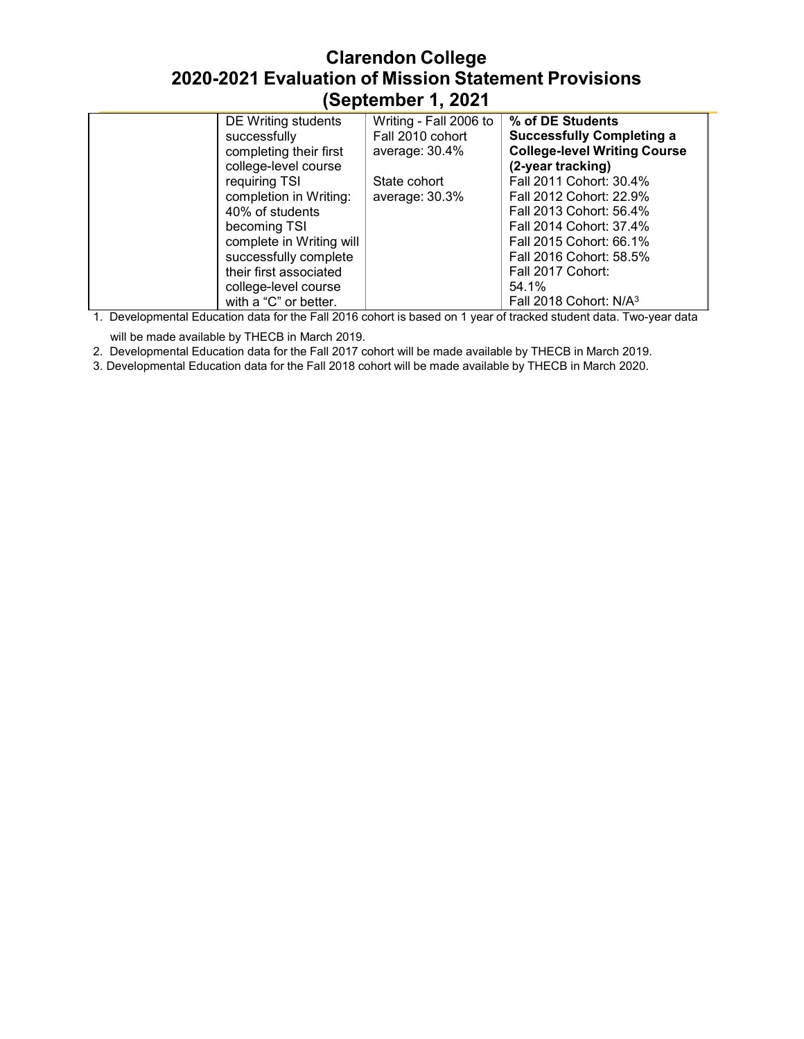| DE Writing students      | Writing - Fall 2006 to | % of DE Students                    |
|--------------------------|------------------------|-------------------------------------|
| successfully             | Fall 2010 cohort       | <b>Successfully Completing a</b>    |
| completing their first   | average: 30.4%         | <b>College-level Writing Course</b> |
| college-level course     |                        | (2-year tracking)                   |
| requiring TSI            | State cohort           | Fall 2011 Cohort: 30.4%             |
| completion in Writing:   | average: 30.3%         | Fall 2012 Cohort: 22.9%             |
| 40% of students          |                        | Fall 2013 Cohort: 56.4%             |
| becoming TSI             |                        | Fall 2014 Cohort: 37.4%             |
| complete in Writing will |                        | Fall 2015 Cohort: 66.1%             |
| successfully complete    |                        | Fall 2016 Cohort: 58.5%             |
| their first associated   |                        | Fall 2017 Cohort:                   |
| college-level course     |                        | 54.1%                               |
| with a "C" or better.    |                        | Fall 2018 Cohort: N/A <sup>3</sup>  |

1. Developmental Education data for the Fall 2016 cohort is based on 1 year of tracked student data. Two-year data

will be made available by THECB in March 2019.

2. Developmental Education data for the Fall 2017 cohort will be made available by THECB in March 2019.

3. Developmental Education data for the Fall 2018 cohort will be made available by THECB in March 2020.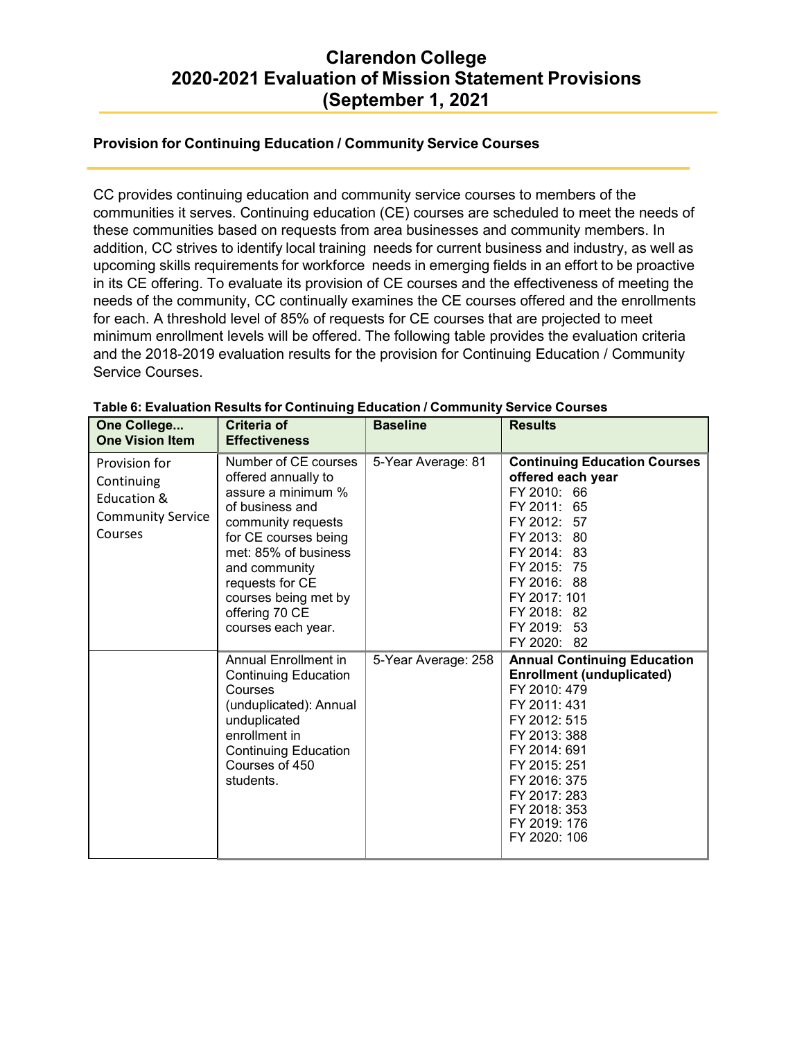### **Provision for Continuing Education / Community Service Courses**

CC provides continuing education and community service courses to members of the communities it serves. Continuing education (CE) courses are scheduled to meet the needs of these communities based on requests from area businesses and community members. In addition, CC strives to identify local training needs for current business and industry, as well as upcoming skills requirements for workforce needs in emerging fields in an effort to be proactive in its CE offering. To evaluate its provision of CE courses and the effectiveness of meeting the needs of the community, CC continually examines the CE courses offered and the enrollments for each. A threshold level of 85% of requests for CE courses that are projected to meet minimum enrollment levels will be offered. The following table provides the evaluation criteria and the 2018-2019 evaluation results for the provision for Continuing Education / Community Service Courses.

| One College<br><b>One Vision Item</b>                                             | Criteria of<br><b>Effectiveness</b>                                                                                                                                                                                                                            | <b>Baseline</b>     | <b>Results</b>                                                                                                                                                                                                                                         |
|-----------------------------------------------------------------------------------|----------------------------------------------------------------------------------------------------------------------------------------------------------------------------------------------------------------------------------------------------------------|---------------------|--------------------------------------------------------------------------------------------------------------------------------------------------------------------------------------------------------------------------------------------------------|
| Provision for<br>Continuing<br>Education &<br><b>Community Service</b><br>Courses | Number of CE courses<br>offered annually to<br>assure a minimum %<br>of business and<br>community requests<br>for CE courses being<br>met: 85% of business<br>and community<br>requests for CE<br>courses being met by<br>offering 70 CE<br>courses each year. | 5-Year Average: 81  | <b>Continuing Education Courses</b><br>offered each year<br>FY 2010: 66<br>FY 2011: 65<br>FY 2012: 57<br>FY 2013: 80<br>FY 2014: 83<br>FY 2015: 75<br>FY 2016: 88<br>FY 2017: 101<br>FY 2018: 82<br>FY 2019: 53<br>FY 2020: 82                         |
|                                                                                   | <b>Annual Enrollment in</b><br><b>Continuing Education</b><br>Courses<br>(unduplicated): Annual<br>unduplicated<br>enrollment in<br><b>Continuing Education</b><br>Courses of 450<br>students.                                                                 | 5-Year Average: 258 | <b>Annual Continuing Education</b><br><b>Enrollment (unduplicated)</b><br>FY 2010: 479<br>FY 2011: 431<br>FY 2012: 515<br>FY 2013: 388<br>FY 2014: 691<br>FY 2015: 251<br>FY 2016: 375<br>FY 2017: 283<br>FY 2018: 353<br>FY 2019: 176<br>FY 2020: 106 |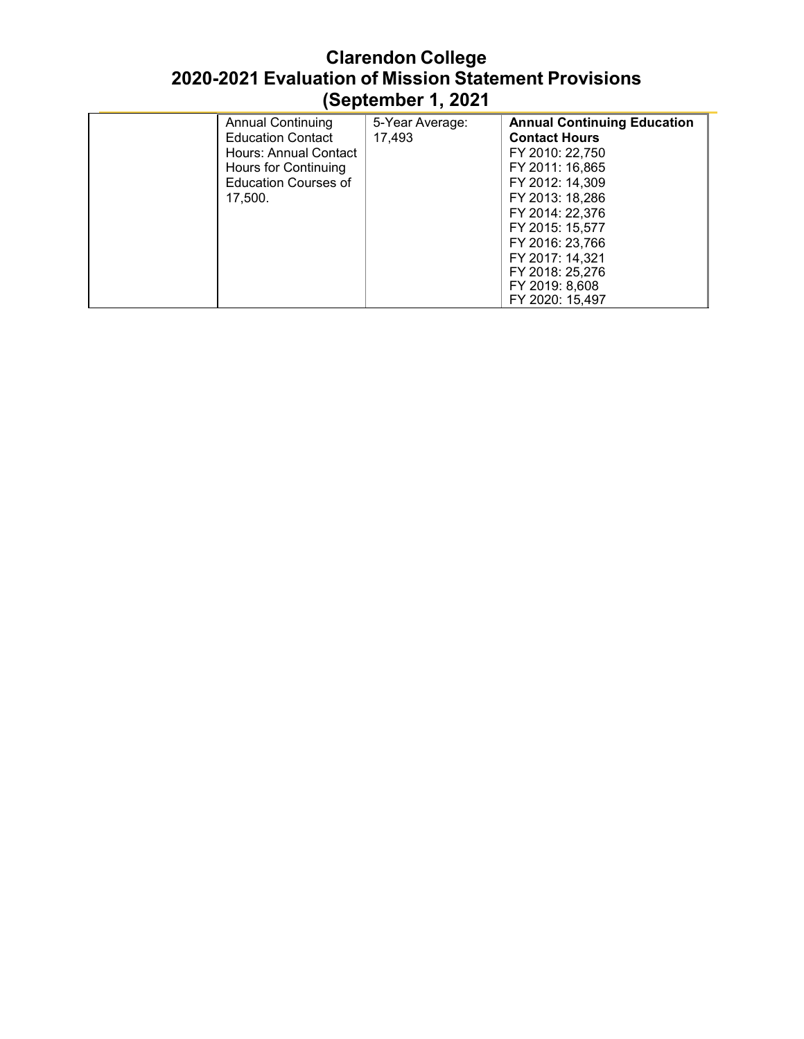| <b>Annual Continuing</b>    | 5-Year Average: | <b>Annual Continuing Education</b> |
|-----------------------------|-----------------|------------------------------------|
| <b>Education Contact</b>    | 17,493          | <b>Contact Hours</b>               |
| Hours: Annual Contact       |                 | FY 2010: 22,750                    |
| Hours for Continuing        |                 | FY 2011: 16,865                    |
| <b>Education Courses of</b> |                 | FY 2012: 14,309                    |
| 17.500.                     |                 | FY 2013: 18,286                    |
|                             |                 | FY 2014: 22,376                    |
|                             |                 | FY 2015: 15,577                    |
|                             |                 | FY 2016: 23,766                    |
|                             |                 | FY 2017: 14,321                    |
|                             |                 | FY 2018: 25,276                    |
|                             |                 | FY 2019: 8,608                     |
|                             |                 | FY 2020: 15,497                    |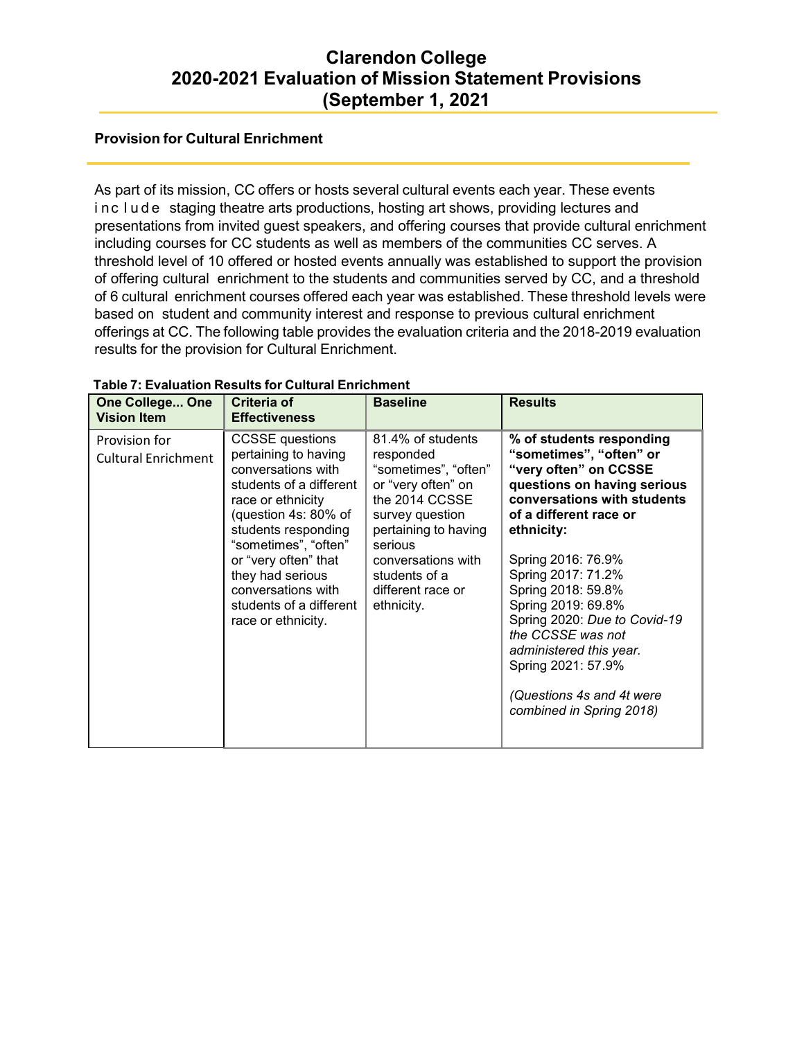### **Provision for Cultural Enrichment**

As part of its mission, CC offers or hosts several cultural events each year. These events i nc l ude staging theatre arts productions, hosting art shows, providing lectures and presentations from invited guest speakers, and offering courses that provide cultural enrichment including courses for CC students as well as members of the communities CC serves. A threshold level of 10 offered or hosted events annually was established to support the provision of offering cultural enrichment to the students and communities served by CC, and a threshold of 6 cultural enrichment courses offered each year was established. These threshold levels were based on student and community interest and response to previous cultural enrichment offerings at CC. The following table provides the evaluation criteria and the 2018-2019 evaluation results for the provision for Cultural Enrichment.

| <b>One College One</b><br><b>Vision Item</b> | Criteria of<br><b>Effectiveness</b>                                                                                                                                                                                                                                                                            | <b>Baseline</b>                                                                                                                                                                                                                | <b>Results</b>                                                                                                                                                                                                                                                                                                                                                                                                                            |
|----------------------------------------------|----------------------------------------------------------------------------------------------------------------------------------------------------------------------------------------------------------------------------------------------------------------------------------------------------------------|--------------------------------------------------------------------------------------------------------------------------------------------------------------------------------------------------------------------------------|-------------------------------------------------------------------------------------------------------------------------------------------------------------------------------------------------------------------------------------------------------------------------------------------------------------------------------------------------------------------------------------------------------------------------------------------|
| Provision for<br><b>Cultural Enrichment</b>  | <b>CCSSE</b> questions<br>pertaining to having<br>conversations with<br>students of a different<br>race or ethnicity<br>(question 4s: 80% of<br>students responding<br>"sometimes", "often"<br>or "very often" that<br>they had serious<br>conversations with<br>students of a different<br>race or ethnicity. | 81.4% of students<br>responded<br>"sometimes", "often"<br>or "very often" on<br>the 2014 CCSSE<br>survey question<br>pertaining to having<br>serious<br>conversations with<br>students of a<br>different race or<br>ethnicity. | % of students responding<br>"sometimes", "often" or<br>"very often" on CCSSE<br>questions on having serious<br>conversations with students<br>of a different race or<br>ethnicity:<br>Spring 2016: 76.9%<br>Spring 2017: 71.2%<br>Spring 2018: 59.8%<br>Spring 2019: 69.8%<br>Spring 2020: Due to Covid-19<br>the CCSSE was not<br>administered this year.<br>Spring 2021: 57.9%<br>(Questions 4s and 4t were<br>combined in Spring 2018) |

### **Table 7: Evaluation Results for Cultural Enrichment**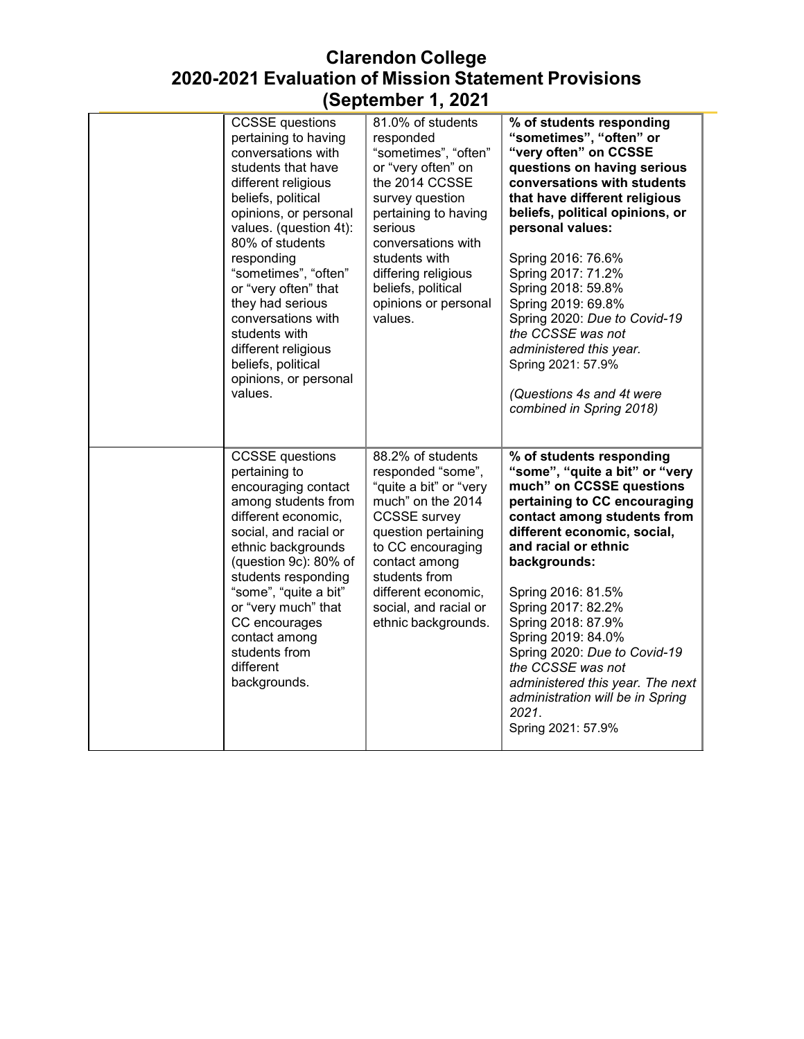| <b>CCSSE</b> questions<br>pertaining to having<br>conversations with<br>students that have<br>different religious<br>beliefs, political<br>opinions, or personal<br>values. (question 4t):<br>80% of students<br>responding<br>"sometimes", "often"<br>or "very often" that<br>they had serious<br>conversations with<br>students with<br>different religious<br>beliefs, political<br>opinions, or personal<br>values. | 81.0% of students<br>responded<br>"sometimes", "often"<br>or "very often" on<br>the 2014 CCSSE<br>survey question<br>pertaining to having<br>serious<br>conversations with<br>students with<br>differing religious<br>beliefs, political<br>opinions or personal<br>values. | % of students responding<br>"sometimes", "often" or<br>"very often" on CCSSE<br>questions on having serious<br>conversations with students<br>that have different religious<br>beliefs, political opinions, or<br>personal values:<br>Spring 2016: 76.6%<br>Spring 2017: 71.2%<br>Spring 2018: 59.8%<br>Spring 2019: 69.8%<br>Spring 2020: Due to Covid-19<br>the CCSSE was not<br>administered this year.<br>Spring 2021: 57.9%<br>(Questions 4s and 4t were<br>combined in Spring 2018) |
|-------------------------------------------------------------------------------------------------------------------------------------------------------------------------------------------------------------------------------------------------------------------------------------------------------------------------------------------------------------------------------------------------------------------------|-----------------------------------------------------------------------------------------------------------------------------------------------------------------------------------------------------------------------------------------------------------------------------|-------------------------------------------------------------------------------------------------------------------------------------------------------------------------------------------------------------------------------------------------------------------------------------------------------------------------------------------------------------------------------------------------------------------------------------------------------------------------------------------|
| <b>CCSSE</b> questions<br>pertaining to<br>encouraging contact<br>among students from<br>different economic,<br>social, and racial or<br>ethnic backgrounds<br>(question 9c): 80% of<br>students responding<br>"some", "quite a bit"<br>or "very much" that<br>CC encourages<br>contact among<br>students from<br>different<br>backgrounds.                                                                             | 88.2% of students<br>responded "some",<br>"quite a bit" or "very<br>much" on the 2014<br><b>CCSSE</b> survey<br>question pertaining<br>to CC encouraging<br>contact among<br>students from<br>different economic,<br>social, and racial or<br>ethnic backgrounds.           | % of students responding<br>"some", "quite a bit" or "very<br>much" on CCSSE questions<br>pertaining to CC encouraging<br>contact among students from<br>different economic, social,<br>and racial or ethnic<br>backgrounds:<br>Spring 2016: 81.5%<br>Spring 2017: 82.2%<br>Spring 2018: 87.9%<br>Spring 2019: 84.0%<br>Spring 2020: Due to Covid-19<br>the CCSSE was not<br>administered this year. The next<br>administration will be in Spring<br>2021.<br>Spring 2021: 57.9%          |